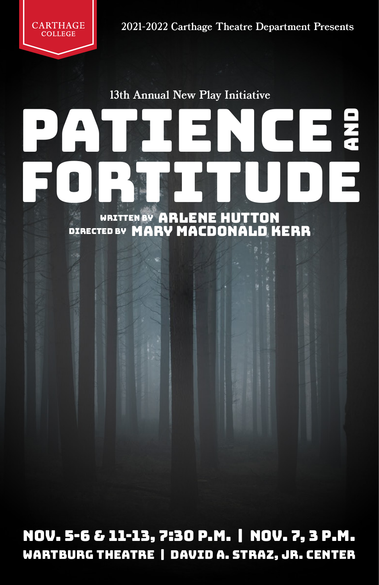

2021-2022 Carthage Theatre Department Presents

13th Annual New Play Initiative

# PATIENCE PATIENCE WRITTEN BY ARLENE HUTTON

DIRECTED BY MARY MACDONALD KERR

Nov. 5-6 & 11-13, 7:30 p.m. | Nov. 7, 3 p.m. Wartburg Theatre | David A. Straz, Jr. Center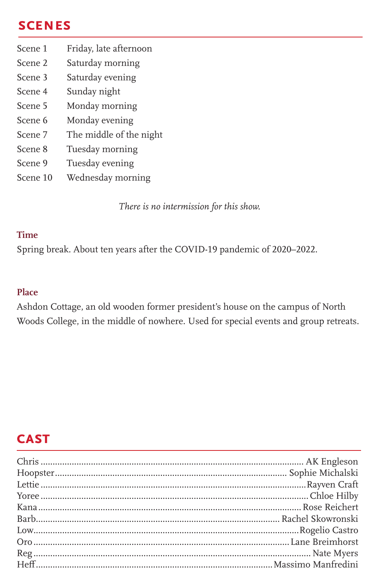## **scenes**

- Scene 1 Friday, late afternoon
- Scene 2 Saturday morning
- Scene 3 Saturday evening
- Scene 4 Sunday night
- Scene 5 Monday morning
- Scene 6 Monday evening
- Scene 7 The middle of the night
- Scene 8 Tuesday morning
- Scene 9 Tuesday evening
- Scene 10 Wednesday morning

*There is no intermission for this show.*

#### **Time**

Spring break. About ten years after the COVID-19 pandemic of 2020–2022.

#### **Place**

Ashdon Cottage, an old wooden former president's house on the campus of North Woods College, in the middle of nowhere. Used for special events and group retreats.

## **cast**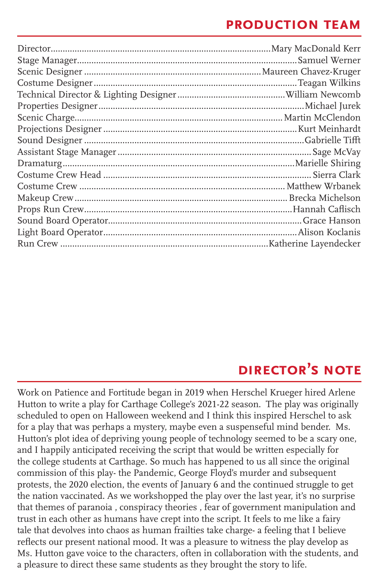#### **production team**

# **director's note**

Work on Patience and Fortitude began in 2019 when Herschel Krueger hired Arlene Hutton to write a play for Carthage College's 2021-22 season. The play was originally scheduled to open on Halloween weekend and I think this inspired Herschel to ask for a play that was perhaps a mystery, maybe even a suspenseful mind bender. Ms. Hutton's plot idea of depriving young people of technology seemed to be a scary one, and I happily anticipated receiving the script that would be written especially for the college students at Carthage. So much has happened to us all since the original commission of this play- the Pandemic, George Floyd's murder and subsequent protests, the 2020 election, the events of January 6 and the continued struggle to get the nation vaccinated. As we workshopped the play over the last year, it's no surprise that themes of paranoia , conspiracy theories , fear of government manipulation and trust in each other as humans have crept into the script. It feels to me like a fairy tale that devolves into chaos as human frailties take charge- a feeling that I believe reflects our present national mood. It was a pleasure to witness the play develop as Ms. Hutton gave voice to the characters, often in collaboration with the students, and a pleasure to direct these same students as they brought the story to life.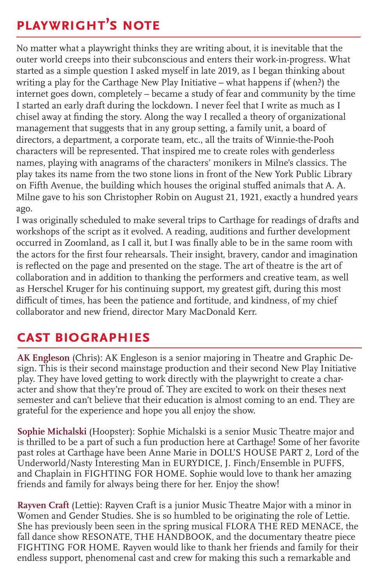# **playwright's note**

No matter what a playwright thinks they are writing about, it is inevitable that the outer world creeps into their subconscious and enters their work-in-progress. What started as a simple question I asked myself in late 2019, as I began thinking about writing a play for the Carthage New Play Initiative – what happens if (when?) the internet goes down, completely – became a study of fear and community by the time I started an early draft during the lockdown. I never feel that I write as much as I chisel away at finding the story. Along the way I recalled a theory of organizational management that suggests that in any group setting, a family unit, a board of directors, a department, a corporate team, etc., all the traits of Winnie-the-Pooh characters will be represented. That inspired me to create roles with genderless names, playing with anagrams of the characters' monikers in Milne's classics. The play takes its name from the two stone lions in front of the New York Public Library on Fifth Avenue, the building which houses the original stuffed animals that A. A. Milne gave to his son Christopher Robin on August 21, 1921, exactly a hundred years ago.

I was originally scheduled to make several trips to Carthage for readings of drafts and workshops of the script as it evolved. A reading, auditions and further development occurred in Zoomland, as I call it, but I was finally able to be in the same room with the actors for the first four rehearsals. Their insight, bravery, candor and imagination is reflected on the page and presented on the stage. The art of theatre is the art of collaboration and in addition to thanking the performers and creative team, as well as Herschel Kruger for his continuing support, my greatest gift, during this most difficult of times, has been the patience and fortitude, and kindness, of my chief collaborator and new friend, director Mary MacDonald Kerr.

## **cast biographies**

**AK Engleson** (Chris): AK Engleson is a senior majoring in Theatre and Graphic Design. This is their second mainstage production and their second New Play Initiative play. They have loved getting to work directly with the playwright to create a character and show that they're proud of. They are excited to work on their theses next semester and can't believe that their education is almost coming to an end. They are grateful for the experience and hope you all enjoy the show.

**Sophie Michalski** (Hoopster): Sophie Michalski is a senior Music Theatre major and is thrilled to be a part of such a fun production here at Carthage! Some of her favorite past roles at Carthage have been Anne Marie in DOLL'S HOUSE PART 2, Lord of the Underworld/Nasty Interesting Man in EURYDICE, J. Finch/Ensemble in PUFFS, and Chaplain in FIGHTING FOR HOME. Sophie would love to thank her amazing friends and family for always being there for her. Enjoy the show!

**Rayven Craft** (Lettie): Rayven Craft is a junior Music Theatre Major with a minor in Women and Gender Studies. She is so humbled to be originating the role of Lettie. She has previously been seen in the spring musical FLORA THE RED MENACE, the fall dance show RESONATE, THE HANDBOOK, and the documentary theatre piece FIGHTING FOR HOME. Rayven would like to thank her friends and family for their endless support, phenomenal cast and crew for making this such a remarkable and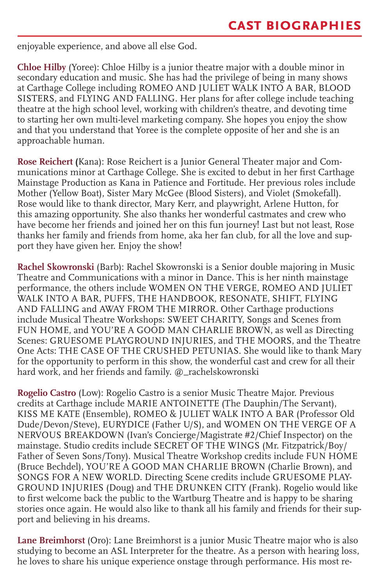enjoyable experience, and above all else God.

**Chloe Hilby** (Yoree): Chloe Hilby is a junior theatre major with a double minor in secondary education and music. She has had the privilege of being in many shows at Carthage College including ROMEO AND JULIET WALK INTO A BAR, BLOOD SISTERS, and FLYING AND FALLING. Her plans for after college include teaching theatre at the high school level, working with children's theatre, and devoting time to starting her own multi-level marketing company. She hopes you enjoy the show and that you understand that Yoree is the complete opposite of her and she is an approachable human.

**Rose Reichert (**Kana): Rose Reichert is a Junior General Theater major and Communications minor at Carthage College. She is excited to debut in her first Carthage Mainstage Production as Kana in Patience and Fortitude. Her previous roles include Mother (Yellow Boat), Sister Mary McGee (Blood Sisters), and Violet (Smokefall). Rose would like to thank director, Mary Kerr, and playwright, Arlene Hutton, for this amazing opportunity. She also thanks her wonderful castmates and crew who have become her friends and joined her on this fun journey! Last but not least, Rose thanks her family and friends from home, aka her fan club, for all the love and support they have given her. Enjoy the show!

**Rachel Skowronski** (Barb): Rachel Skowronski is a Senior double majoring in Music Theatre and Communications with a minor in Dance. This is her ninth mainstage performance, the others include WOMEN ON THE VERGE, ROMEO AND JULIET WALK INTO A BAR, PUFFS, THE HANDBOOK, RESONATE, SHIFT, FLYING AND FALLING and AWAY FROM THE MIRROR. Other Carthage productions include Musical Theatre Workshops: SWEET CHARITY, Songs and Scenes from FUN HOME, and YOU'RE A GOOD MAN CHARLIE BROWN, as well as Directing Scenes: GRUESOME PLAYGROUND INJURIES, and THE MOORS, and the Theatre One Acts: THE CASE OF THE CRUSHED PETUNIAS. She would like to thank Mary for the opportunity to perform in this show, the wonderful cast and crew for all their hard work, and her friends and family. @\_rachelskowronski

**Rogelio Castro** (Low): Rogelio Castro is a senior Music Theatre Major. Previous credits at Carthage include MARIE ANTOINETTE (The Dauphin/The Servant), KISS ME KATE (Ensemble), ROMEO & JULIET WALK INTO A BAR (Professor Old Dude/Devon/Steve), EURYDICE (Father U/S), and WOMEN ON THE VERGE OF A NERVOUS BREAKDOWN (Ivan's Concierge/Magistrate #2/Chief Inspector) on the mainstage. Studio credits include SECRET OF THE WINGS (Mr. Fitzpatrick/Boy/ Father of Seven Sons/Tony). Musical Theatre Workshop credits include FUN HOME (Bruce Bechdel), YOU'RE A GOOD MAN CHARLIE BROWN (Charlie Brown), and SONGS FOR A NEW WORLD. Directing Scene credits include GRUESOME PLAY-GROUND INJURIES (Doug) and THE DRUNKEN CITY (Frank). Rogelio would like to first welcome back the public to the Wartburg Theatre and is happy to be sharing stories once again. He would also like to thank all his family and friends for their support and believing in his dreams.

**Lane Breimhorst** (Oro): Lane Breimhorst is a junior Music Theatre major who is also studying to become an ASL Interpreter for the theatre. As a person with hearing loss, he loves to share his unique experience onstage through performance. His most re-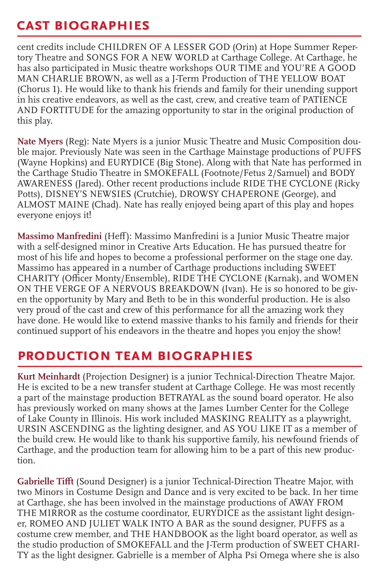### **cast biographies**

cent credits include CHILDREN OF A LESSER GOD (Orin) at Hope Summer Repertory Theatre and SONGS FOR A NEW WORLD at Carthage College. At Carthage, he has also participated in Music theatre workshops OUR TIME and YOU'RE A GOOD MAN CHARLIE BROWN, as well as a J-Term Production of THE YELLOW BOAT (Chorus 1). He would like to thank his friends and family for their unending support in his creative endeavors, as well as the cast, crew, and creative team of PATIENCE AND FORTITUDE for the amazing opportunity to star in the original production of this play.

**Nate Myers** (Reg): Nate Myers is a junior Music Theatre and Music Composition double major. Previously Nate was seen in the Carthage Mainstage productions of PUFFS (Wayne Hopkins) and EURYDICE (Big Stone). Along with that Nate has performed in the Carthage Studio Theatre in SMOKEFALL (Footnote/Fetus 2/Samuel) and BODY AWARENESS (Jared). Other recent productions include RIDE THE CYCLONE (Ricky Potts), DISNEY'S NEWSIES (Crutchie), DROWSY CHAPERONE (George), and ALMOST MAINE (Chad). Nate has really enjoyed being apart of this play and hopes everyone enjoys it!

**Massimo Manfredini** (Heff): Massimo Manfredini is a Junior Music Theatre major with a self-designed minor in Creative Arts Education. He has pursued theatre for most of his life and hopes to become a professional performer on the stage one day. Massimo has appeared in a number of Carthage productions including SWEET CHARITY (Officer Monty/Ensemble), RIDE THE CYCLONE (Karnak), and WOMEN ON THE VERGE OF A NERVOUS BREAKDOWN (Ivan). He is so honored to be given the opportunity by Mary and Beth to be in this wonderful production. He is also very proud of the cast and crew of this performance for all the amazing work they have done. He would like to extend massive thanks to his family and friends for their continued support of his endeavors in the theatre and hopes you enjoy the show!

## **production team biographies**

**Kurt Meinhardt** (Projection Designer) is a junior Technical-Direction Theatre Major. He is excited to be a new transfer student at Carthage College. He was most recently a part of the mainstage production BETRAYAL as the sound board operator. He also has previously worked on many shows at the James Lumber Center for the College of Lake County in Illinois. His work included MASKING REALITY as a playwright, URSIN ASCENDING as the lighting designer, and AS YOU LIKE IT as a member of the build crew. He would like to thank his supportive family, his newfound friends of Carthage, and the production team for allowing him to be a part of this new production.

**Gabrielle Tifft** (Sound Designer) is a junior Technical-Direction Theatre Major, with two Minors in Costume Design and Dance and is very excited to be back. In her time at Carthage, she has been involved in the mainstage productions of AWAY FROM THE MIRROR as the costume coordinator, EURYDICE as the assistant light designer, ROMEO AND JULIET WALK INTO A BAR as the sound designer, PUFFS as a costume crew member, and THE HANDBOOK as the light board operator, as well as the studio production of SMOKEFALL and the J-Term production of SWEET CHARI-TY as the light designer. Gabrielle is a member of Alpha Psi Omega where she is also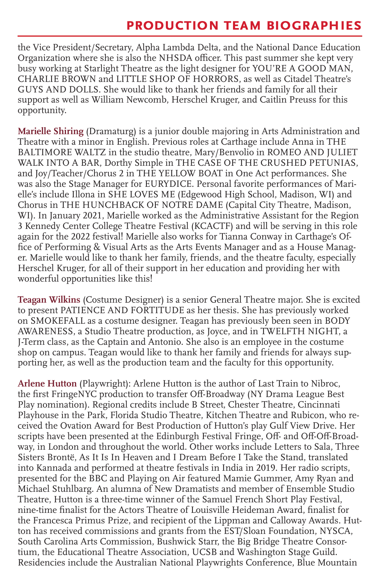#### **production team biographies**

the Vice President/Secretary, Alpha Lambda Delta, and the National Dance Education Organization where she is also the NHSDA officer. This past summer she kept very busy working at Starlight Theatre as the light designer for YOU'RE A GOOD MAN, CHARLIE BROWN and LITTLE SHOP OF HORRORS, as well as Citadel Theatre's GUYS AND DOLLS. She would like to thank her friends and family for all their support as well as William Newcomb, Herschel Kruger, and Caitlin Preuss for this opportunity.

**Marielle Shiring** (Dramaturg) is a junior double majoring in Arts Administration and Theatre with a minor in English. Previous roles at Carthage include Anna in THE BALTIMORE WALTZ in the studio theatre, Mary/Benvolio in ROMEO AND JULIET WALK INTO A BAR, Dorthy Simple in THE CASE OF THE CRUSHED PETUNIAS, and Joy/Teacher/Chorus 2 in THE YELLOW BOAT in One Act performances. She was also the Stage Manager for EURYDICE. Personal favorite performances of Marielle's include Illona in SHE LOVES ME (Edgewood High School, Madison, WI) and Chorus in THE HUNCHBACK OF NOTRE DAME (Capital City Theatre, Madison, WI). In January 2021, Marielle worked as the Administrative Assistant for the Region 3 Kennedy Center College Theatre Festival (KCACTF) and will be serving in this role again for the 2022 festival! Marielle also works for Tianna Conway in Carthage's Office of Performing & Visual Arts as the Arts Events Manager and as a House Manager. Marielle would like to thank her family, friends, and the theatre faculty, especially Herschel Kruger, for all of their support in her education and providing her with wonderful opportunities like this!

**Teagan Wilkins** (Costume Designer) is a senior General Theatre major. She is excited to present PATIENCE AND FORTITUDE as her thesis. She has previously worked on SMOKEFALL as a costume designer. Teagan has previously been seen in BODY AWARENESS, a Studio Theatre production, as Joyce, and in TWELFTH NIGHT, a J-Term class, as the Captain and Antonio. She also is an employee in the costume shop on campus. Teagan would like to thank her family and friends for always supporting her, as well as the production team and the faculty for this opportunity.

**Arlene Hutton** (Playwright): Arlene Hutton is the author of Last Train to Nibroc, the first FringeNYC production to transfer Off-Broadway (NY Drama League Best Play nomination). Regional credits include B Street, Chester Theatre, Cincinnati Playhouse in the Park, Florida Studio Theatre, Kitchen Theatre and Rubicon, who received the Ovation Award for Best Production of Hutton's play Gulf View Drive. Her scripts have been presented at the Edinburgh Festival Fringe, Off- and Off-Off-Broadway, in London and throughout the world. Other works include Letters to Sala, Three Sisters Brontë, As It Is In Heaven and I Dream Before I Take the Stand, translated into Kannada and performed at theatre festivals in India in 2019. Her radio scripts, presented for the BBC and Playing on Air featured Mamie Gummer, Amy Ryan and Michael Stuhlbarg. An alumna of New Dramatists and member of Ensemble Studio Theatre, Hutton is a three-time winner of the Samuel French Short Play Festival, nine-time finalist for the Actors Theatre of Louisville Heideman Award, finalist for the Francesca Primus Prize, and recipient of the Lippman and Calloway Awards. Hutton has received commissions and grants from the EST/Sloan Foundation, NYSCA, South Carolina Arts Commission, Bushwick Starr, the Big Bridge Theatre Consortium, the Educational Theatre Association, UCSB and Washington Stage Guild. Residencies include the Australian National Playwrights Conference, Blue Mountain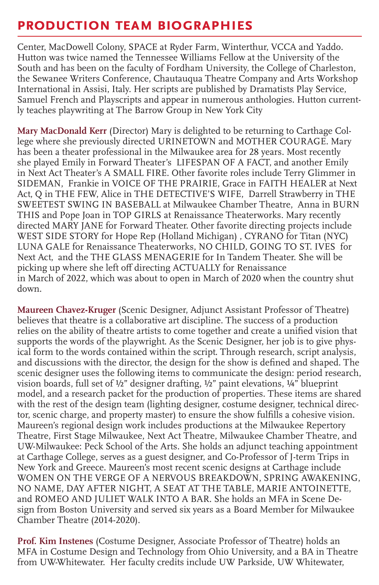#### **production team biographies**

Center, MacDowell Colony, SPACE at Ryder Farm, Winterthur, VCCA and Yaddo. Hutton was twice named the Tennessee Williams Fellow at the University of the South and has been on the faculty of Fordham University, the College of Charleston, the Sewanee Writers Conference, Chautauqua Theatre Company and Arts Workshop International in Assisi, Italy. Her scripts are published by Dramatists Play Service, Samuel French and Playscripts and appear in numerous anthologies. Hutton currently teaches playwriting at The Barrow Group in New York City

**Mary MacDonald Kerr** (Director) Mary is delighted to be returning to Carthage College where she previously directed URINETOWN and MOTHER COURAGE. Mary has been a theater professional in the Milwaukee area for 28 years. Most recently she played Emily in Forward Theater's LIFESPAN OF A FACT, and another Emily in Next Act Theater's A SMALL FIRE. Other favorite roles include Terry Glimmer in SIDEMAN, Frankie in VOICE OF THE PRAIRIE, Grace in FAITH HEALER at Next Act, Q in THE FEW, Alice in THE DETECTIVE'S WIFE, Darrell Strawberry in THE SWEETEST SWING IN BASEBALL at Milwaukee Chamber Theatre, Anna in BURN THIS and Pope Joan in TOP GIRLS at Renaissance Theaterworks. Mary recently directed MARY JANE for Forward Theater. Other favorite directing projects include WEST SIDE STORY for Hope Rep (Holland Michigan) , CYRANO for Titan (NYC) LUNA GALE for Renaissance Theaterworks, NO CHILD, GOING TO ST. IVES for Next Act, and the THE GLASS MENAGERIE for In Tandem Theater. She will be picking up where she left off directing ACTUALLY for Renaissance in March of 2022, which was about to open in March of 2020 when the country shut down.

**Maureen Chavez-Kruger** (Scenic Designer, Adjunct Assistant Professor of Theatre) believes that theatre is a collaborative art discipline. The success of a production relies on the ability of theatre artists to come together and create a unified vision that supports the words of the playwright. As the Scenic Designer, her job is to give physical form to the words contained within the script. Through research, script analysis, and discussions with the director, the design for the show is defined and shaped. The scenic designer uses the following items to communicate the design: period research, vision boards, full set of ½" designer drafting, ½" paint elevations, ¼" blueprint model, and a research packet for the production of properties. These items are shared with the rest of the design team (lighting designer, costume designer, technical director, scenic charge, and property master) to ensure the show fulfills a cohesive vision. Maureen's regional design work includes productions at the Milwaukee Repertory Theatre, First Stage Milwaukee, Next Act Theatre, Milwaukee Chamber Theatre, and UW-Milwaukee: Peck School of the Arts. She holds an adjunct teaching appointment at Carthage College, serves as a guest designer, and Co-Professor of J-term Trips in New York and Greece. Maureen's most recent scenic designs at Carthage include WOMEN ON THE VERGE OF A NERVOUS BREAKDOWN, SPRING AWAKENING, NO NAME, DAY AFTER NIGHT, A SEAT AT THE TABLE, MARIE ANTOINETTE, and ROMEO AND JULIET WALK INTO A BAR. She holds an MFA in Scene Design from Boston University and served six years as a Board Member for Milwaukee Chamber Theatre (2014-2020).

**Prof. Kim Instenes** (Costume Designer, Associate Professor of Theatre) holds an MFA in Costume Design and Technology from Ohio University, and a BA in Theatre from UW-Whitewater. Her faculty credits include UW Parkside, UW Whitewater,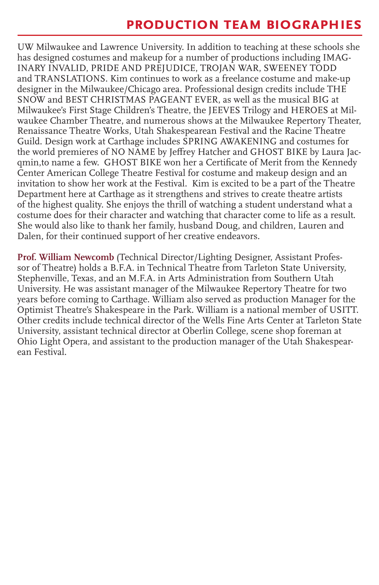#### **production team biographies**

UW Milwaukee and Lawrence University. In addition to teaching at these schools she has designed costumes and makeup for a number of productions including IMAG-INARY INVALID, PRIDE AND PREJUDICE, TROJAN WAR, SWEENEY TODD and TRANSLATIONS. Kim continues to work as a freelance costume and make-up designer in the Milwaukee/Chicago area. Professional design credits include THE SNOW and BEST CHRISTMAS PAGEANT EVER, as well as the musical BIG at Milwaukee's First Stage Children's Theatre, the JEEVES Trilogy and HEROES at Milwaukee Chamber Theatre, and numerous shows at the Milwaukee Repertory Theater, Renaissance Theatre Works, Utah Shakespearean Festival and the Racine Theatre Guild. Design work at Carthage includes SPRING AWAKENING and costumes for the world premieres of NO NAME by Jeffrey Hatcher and GHOST BIKE by Laura Jacqmin,to name a few. GHOST BIKE won her a Certificate of Merit from the Kennedy Center American College Theatre Festival for costume and makeup design and an invitation to show her work at the Festival. Kim is excited to be a part of the Theatre Department here at Carthage as it strengthens and strives to create theatre artists of the highest quality. She enjoys the thrill of watching a student understand what a costume does for their character and watching that character come to life as a result. She would also like to thank her family, husband Doug, and children, Lauren and Dalen, for their continued support of her creative endeavors.

**Prof. William Newcomb** (Technical Director/Lighting Designer, Assistant Professor of Theatre) holds a B.F.A. in Technical Theatre from Tarleton State University, Stephenville, Texas, and an M.F.A. in Arts Administration from Southern Utah University. He was assistant manager of the Milwaukee Repertory Theatre for two years before coming to Carthage. William also served as production Manager for the Optimist Theatre's Shakespeare in the Park. William is a national member of USITT. Other credits include technical director of the Wells Fine Arts Center at Tarleton State University, assistant technical director at Oberlin College, scene shop foreman at Ohio Light Opera, and assistant to the production manager of the Utah Shakespearean Festival.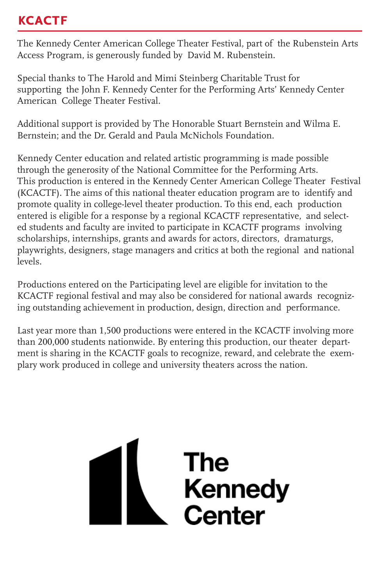## **kcactf**

The Kennedy Center American College Theater Festival, part of the Rubenstein Arts Access Program, is generously funded by David M. Rubenstein.

Special thanks to The Harold and Mimi Steinberg Charitable Trust for supporting the John F. Kennedy Center for the Performing Arts' Kennedy Center American College Theater Festival.

Additional support is provided by The Honorable Stuart Bernstein and Wilma E. Bernstein; and the Dr. Gerald and Paula McNichols Foundation.

Kennedy Center education and related artistic programming is made possible through the generosity of the National Committee for the Performing Arts. This production is entered in the Kennedy Center American College Theater Festival (KCACTF). The aims of this national theater education program are to identify and promote quality in college-level theater production. To this end, each production entered is eligible for a response by a regional KCACTF representative, and selected students and faculty are invited to participate in KCACTF programs involving scholarships, internships, grants and awards for actors, directors, dramaturgs, playwrights, designers, stage managers and critics at both the regional and national levels.

Productions entered on the Participating level are eligible for invitation to the KCACTF regional festival and may also be considered for national awards recognizing outstanding achievement in production, design, direction and performance.

Last year more than 1,500 productions were entered in the KCACTF involving more than 200,000 students nationwide. By entering this production, our theater department is sharing in the KCACTF goals to recognize, reward, and celebrate the exemplary work produced in college and university theaters across the nation.

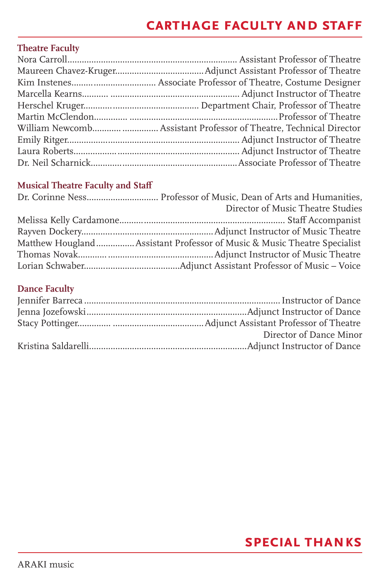## **carthage faculty and staff**

#### **Theatre Faculty**

#### **Musical Theatre Faculty and Staff**

| Director of Music Theatre Studies                                         |
|---------------------------------------------------------------------------|
|                                                                           |
|                                                                           |
| Matthew Hougland  Assistant Professor of Music & Music Theatre Specialist |
|                                                                           |
|                                                                           |

#### **Dance Faculty**

| Director of Dance Minor |
|-------------------------|
|                         |